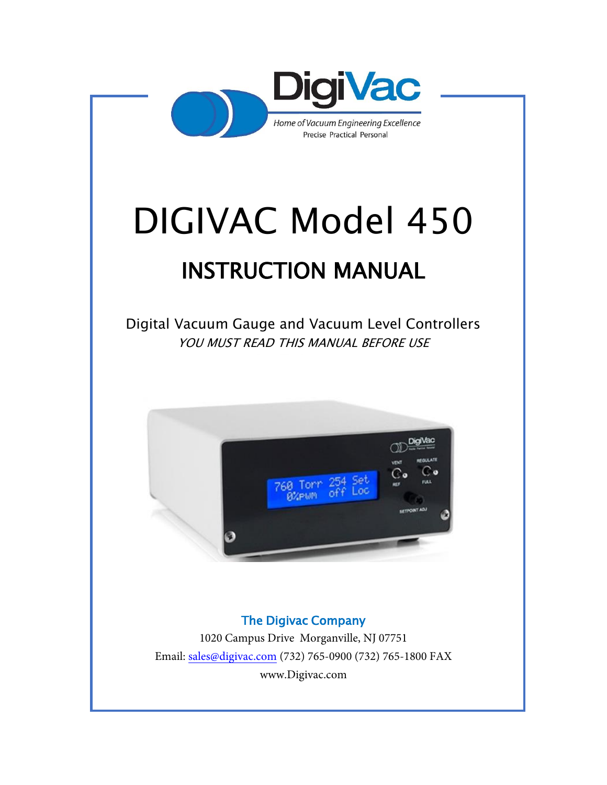

# DIGIVAC Model 450

# INSTRUCTION MANUAL

Digital Vacuum Gauge and Vacuum Level Controllers YOU MUST READ THIS MANUAL BEFORE USE



#### The Digivac Company

1020 Campus Drive Morganville, NJ 07751 [Email: sales@digivac.com](mailto:sales@digivac.com) (732) 765-0900 (732) 765-1800 FAX [www.Digivac.com](http://www.digivac.com/)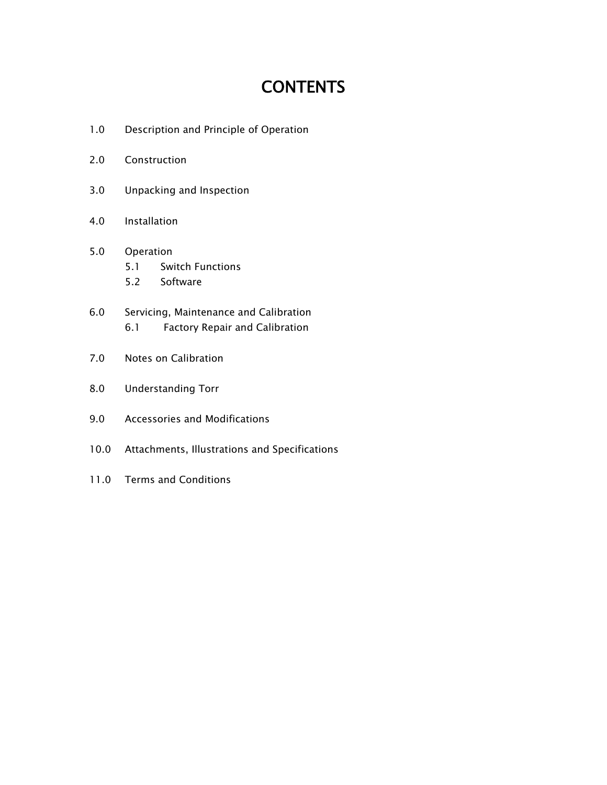# **CONTENTS**

- 1.0 Description and Principle of Operation
- 2.0 Construction
- 3.0 Unpacking and Inspection
- 4.0 Installation
- 5.0 Operation 5.1 Switch Functions
	- 5.2 Software
- 6.0 Servicing, Maintenance and Calibration 6.1 Factory Repair and Calibration
- 7.0 Notes on Calibration
- 8.0 Understanding Torr
- 9.0 Accessories and Modifications
- 10.0 Attachments, Illustrations and Specifications
- 11.0 Terms and Conditions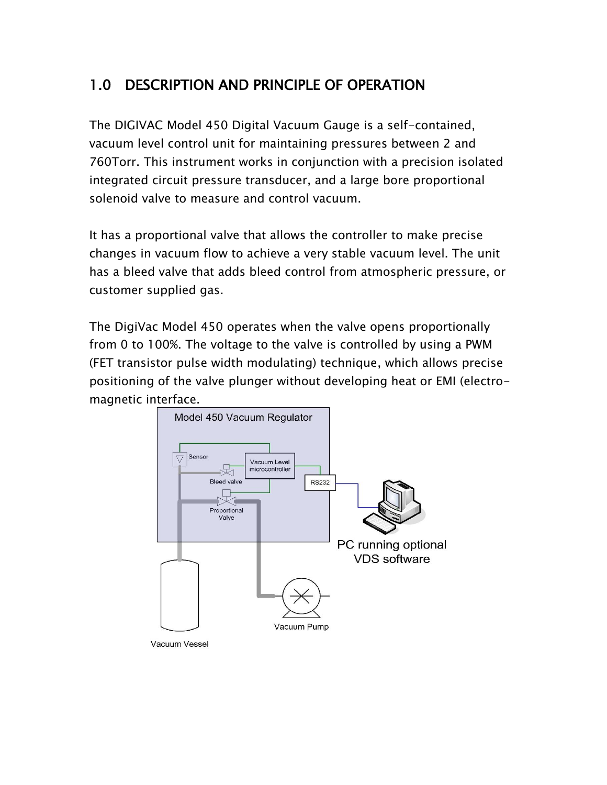#### 1.0 DESCRIPTION AND PRINCIPLE OF OPERATION

The DIGIVAC Model 450 Digital Vacuum Gauge is a self-contained, vacuum level control unit for maintaining pressures between 2 and 760Torr. This instrument works in conjunction with a precision isolated integrated circuit pressure transducer, and a large bore proportional solenoid valve to measure and control vacuum.

It has a proportional valve that allows the controller to make precise changes in vacuum flow to achieve a very stable vacuum level. The unit has a bleed valve that adds bleed control from atmospheric pressure, or customer supplied gas.

The DigiVac Model 450 operates when the valve opens proportionally from 0 to 100%. The voltage to the valve is controlled by using a PWM (FET transistor pulse width modulating) technique, which allows precise positioning of the valve plunger without developing heat or EMI (electromagnetic interface.

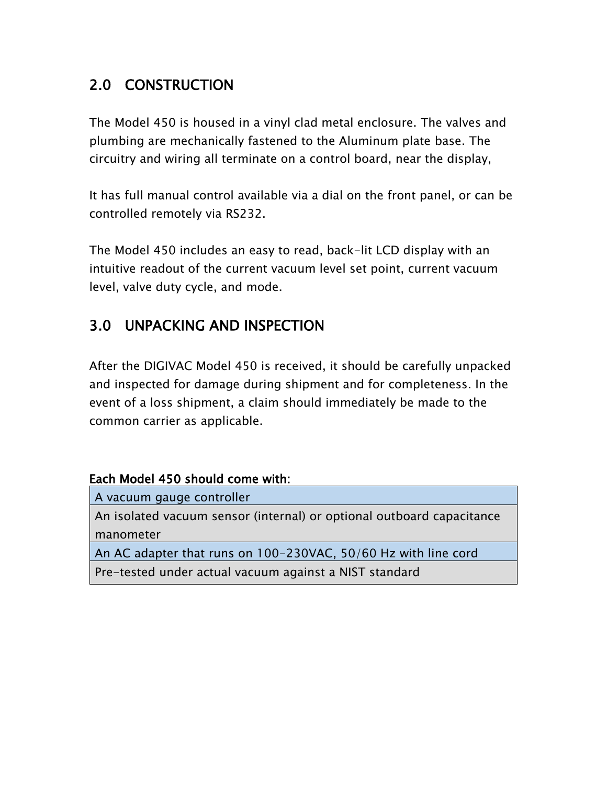# 2.0 CONSTRUCTION

The Model 450 is housed in a vinyl clad metal enclosure. The valves and plumbing are mechanically fastened to the Aluminum plate base. The circuitry and wiring all terminate on a control board, near the display,

It has full manual control available via a dial on the front panel, or can be controlled remotely via RS232.

The Model 450 includes an easy to read, back-lit LCD display with an intuitive readout of the current vacuum level set point, current vacuum level, valve duty cycle, and mode.

#### 3.0 UNPACKING AND INSPECTION

After the DIGIVAC Model 450 is received, it should be carefully unpacked and inspected for damage during shipment and for completeness. In the event of a loss shipment, a claim should immediately be made to the common carrier as applicable.

#### Each Model 450 should come with:

| A vacuum gauge controller                                             |
|-----------------------------------------------------------------------|
| An isolated vacuum sensor (internal) or optional outboard capacitance |
| manometer                                                             |
| An AC adapter that runs on 100-230VAC, 50/60 Hz with line cord        |

Pre-tested under actual vacuum against a NIST standard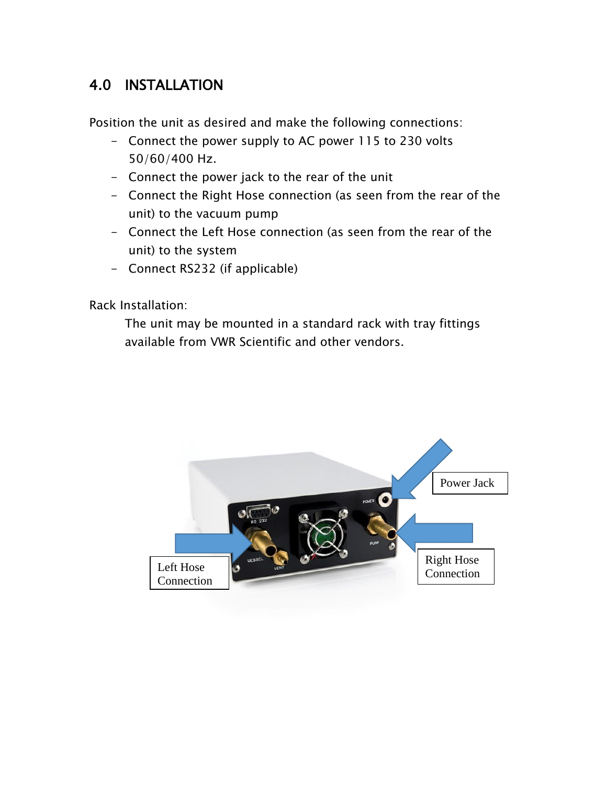#### 4.0 INSTALLATION

Position the unit as desired and make the following connections:

- Connect the power supply to AC power 115 to 230 volts 50/60/400 Hz.
- Connect the power jack to the rear of the unit
- Connect the Right Hose connection (as seen from the rear of the unit) to the vacuum pump
- Connect the Left Hose connection (as seen from the rear of the unit) to the system
- Connect RS232 (if applicable)

Rack Installation:

The unit may be mounted in a standard rack with tray fittings available from VWR Scientific and other vendors.

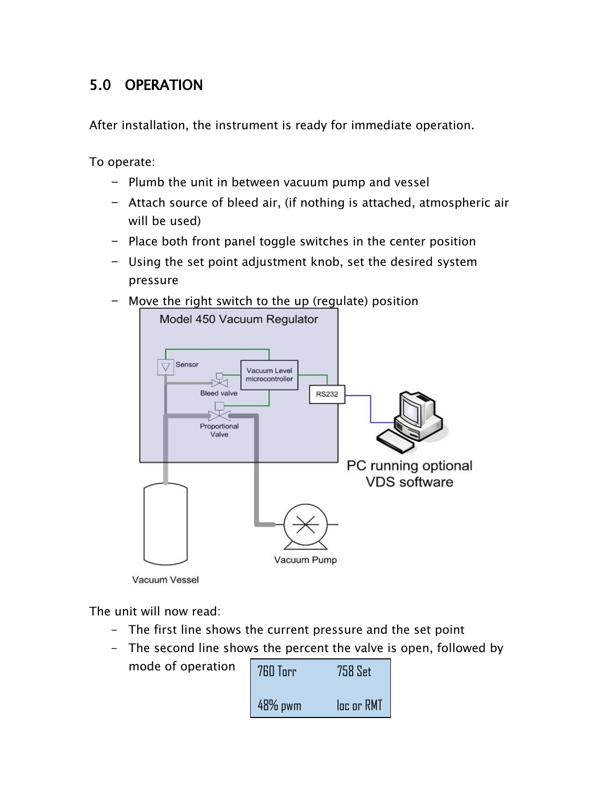# 5.0 OPERATION

After installation, the instrument is ready for immediate operation.

To operate:

- Plumb the unit in between vacuum pump and vessel
- Attach source of bleed air, (if nothing is attached, atmospheric air will be used)
- Place both front panel toggle switches in the center position
- Using the set point adjustment knob, set the desired system pressure
- Move the right switch to the up (regulate) position



Vacuum Vessel

mode of operation

The unit will now read:

- The first line shows the current pressure and the set point
- The second line shows the percent the valve is open, followed by

| 760 Torr   | 758 Set    |
|------------|------------|
| $48\%$ pwm | loc or RMT |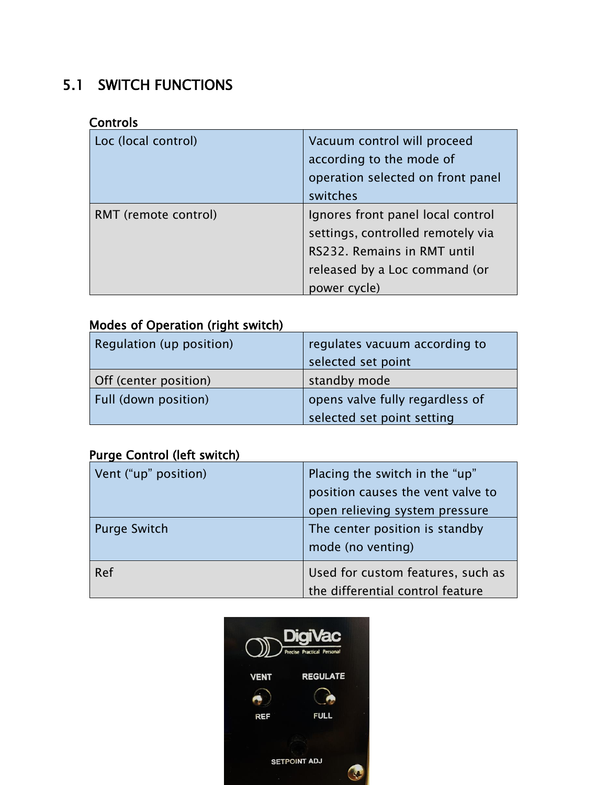# 5.1 SWITCH FUNCTIONS

#### **Controls**

| Loc (local control)  | Vacuum control will proceed<br>according to the mode of<br>operation selected on front panel<br>switches                                               |
|----------------------|--------------------------------------------------------------------------------------------------------------------------------------------------------|
| RMT (remote control) | Ignores front panel local control<br>settings, controlled remotely via<br>RS232. Remains in RMT until<br>released by a Loc command (or<br>power cycle) |

#### Modes of Operation (right switch)

| Regulation (up position) | regulates vacuum according to   |
|--------------------------|---------------------------------|
|                          | selected set point              |
| Off (center position)    | standby mode                    |
| Full (down position)     | opens valve fully regardless of |
|                          | selected set point setting      |

#### Purge Control (left switch)

| Vent ("up" position) | Placing the switch in the "up"    |
|----------------------|-----------------------------------|
|                      | position causes the vent valve to |
|                      | open relieving system pressure    |
| <b>Purge Switch</b>  | The center position is standby    |
|                      | mode (no venting)                 |
| Ref                  | Used for custom features, such as |
|                      | the differential control feature  |

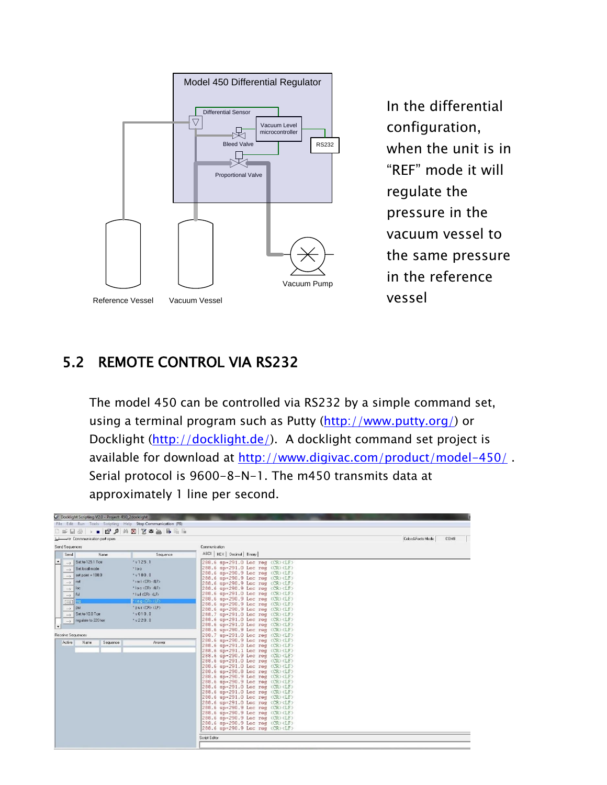

In the differential configuration, when the unit is in "REF" mode it will regulate the pressure in the vacuum vessel to the same pressure in the reference vessel

#### 5.2 REMOTE CONTROL VIA RS232

The model 450 can be controlled via RS232 by a simple command set, using a terminal program such as Putty [\(http://www.putty.org/\)](http://www.putty.org/) or Docklight [\(http://docklight.de/\)](http://docklight.de/). A docklight command set project is available for download at<http://www.digivac.com/product/model-450/>. Serial protocol is 9600-8-N-1. The m450 transmits data at approximately 1 line per second.

|                                | File Edit Run Tools Scripting Help Stop Communication (F6) |                                                                                                                                                                       |                           |
|--------------------------------|------------------------------------------------------------|-----------------------------------------------------------------------------------------------------------------------------------------------------------------------|---------------------------|
|                                |                                                            |                                                                                                                                                                       |                           |
| Commmunication port open       |                                                            |                                                                                                                                                                       | Colors&Fonts Mode<br>COM8 |
| Send Sequences                 |                                                            | Communication                                                                                                                                                         |                           |
| Send<br>Name                   | Sequence                                                   | ASCII   HEX   Decimal   Binary                                                                                                                                        |                           |
|                                |                                                            |                                                                                                                                                                       |                           |
| $\rightarrow$ Set to 125.1 Ton | $*$ v 125.1                                                | 288.6 sp=291.0 Loc reg <cr><lf></lf></cr>                                                                                                                             |                           |
| Set local mode                 | $  \cdot  $ o c                                            | 288.6 sp=291.0 Loc reg <cr><lf><br/>288.6 sp=290.9 Loc reg <cr><lf></lf></cr></lf></cr>                                                                               |                           |
| $>$ set point = 100.0          | $*$ v100.0                                                 | 288.6 sp=290.9 Loc reg <cr><lf></lf></cr>                                                                                                                             |                           |
| Irmt<br>$\rightarrow$          | * mit <cr> <lf></lf></cr>                                  | 288.6 sp=290.9 Loc reg <cr><lf></lf></cr>                                                                                                                             |                           |
| $\cdots \rangle$               | *lockCR> <lf></lf>                                         | 288.6 sp=290.9 Loc reg <cr><lf></lf></cr>                                                                                                                             |                           |
| ful                            | " full CCR> <lf></lf>                                      | 288.6 sp=291.0 Loc reg <cr><lf></lf></cr>                                                                                                                             |                           |
| $\ldots\rangle$                |                                                            | 288.6 sp=290.9 Loc reg <cr><lf></lf></cr>                                                                                                                             |                           |
| $\left[-\right]$ reg           | freq <cr><lf></lf></cr>                                    | 288.6 sp=290.9 Loc reg <cr><lf></lf></cr>                                                                                                                             |                           |
| $\rightarrow$ pur              | * pur <cr> <lf></lf></cr>                                  | 288.6 sp=290.9 Loc reg <cr><lf></lf></cr>                                                                                                                             |                           |
| Set to 10.0 Tom                | $*$ v010.0                                                 | 288.7 sp=291.0 Loc reg <cr><lf></lf></cr>                                                                                                                             |                           |
| regulate to 220 torr           | $* v 220.0$                                                | 288.6 sp=291.0 Loc reg <cr><lf></lf></cr>                                                                                                                             |                           |
|                                |                                                            | 288.6 $sp=291.0$ Loc reg $\langle CR \rangle \langle LF \rangle$                                                                                                      |                           |
|                                |                                                            | 288.6 sp=290.9 Loc reg <cr><lf></lf></cr>                                                                                                                             |                           |
| Receive Sequences              |                                                            | $288.7$ sp=291.0 Loc reg $\langle$ CR $\rangle$ <lf<math>\rangle</lf<math>                                                                                            |                           |
| Active<br>Name<br>Sequence     | Answer                                                     | 288.6 sp=290.9 Loc reg <cr><lf></lf></cr>                                                                                                                             |                           |
|                                |                                                            | 288.6 sp=291.0 Loc reg <cr><lf></lf></cr>                                                                                                                             |                           |
|                                |                                                            | 288.6 sp=291.1 Loc reg <cr><lf></lf></cr>                                                                                                                             |                           |
|                                |                                                            | 288.6 sp=290.9 Loc reg <cr><lf></lf></cr>                                                                                                                             |                           |
|                                |                                                            | 288.6 sp=291.0 Loc reg <cr><lf></lf></cr>                                                                                                                             |                           |
|                                |                                                            | 288.6 sp=291.0 Loc reg <cr><lf></lf></cr>                                                                                                                             |                           |
|                                |                                                            | 288.6 sp=290.8 Loc reg <cr><lf></lf></cr>                                                                                                                             |                           |
|                                |                                                            | 288.6 sp=290.9 Loc reg <cr><lf></lf></cr>                                                                                                                             |                           |
|                                |                                                            | 288.6 sp=290.9 Loc reg <cr><lf></lf></cr>                                                                                                                             |                           |
|                                |                                                            | $288.6$ sp=291.0 Loc reg $\langle$ CR $\rangle$ <lf<math>\rangle<br/>288.6 <math>sp=291.0</math> Loc reg <math>\langle CR \rangle \langle LF \rangle</math></lf<math> |                           |
|                                |                                                            | $ 288.6$ sp=291.0 Loc reg $\langle CR \rangle \langle LF \rangle$                                                                                                     |                           |
|                                |                                                            | 288.6 sp=291.0 Loc reg <cr><lf></lf></cr>                                                                                                                             |                           |
|                                |                                                            | $288.6$ sp=290.9 Loc reg $\langle$ CR $\rangle$ $\langle$ LF $\rangle$                                                                                                |                           |
|                                |                                                            | 288.6 $sp=290.9$ Loc reg $\langle CR \rangle \langle LF \rangle$                                                                                                      |                           |
|                                |                                                            | 288.6 $sp=290.9$ Loc reg $\langle CR \rangle \langle LF \rangle$                                                                                                      |                           |
|                                |                                                            | 288.6 sp=290.9 Loc reg <cr><lf></lf></cr>                                                                                                                             |                           |
|                                |                                                            | 288.6 sp=290.9 Loc reg <cr><lf></lf></cr>                                                                                                                             |                           |
|                                |                                                            |                                                                                                                                                                       |                           |
|                                |                                                            | Script Editor                                                                                                                                                         |                           |
|                                |                                                            |                                                                                                                                                                       |                           |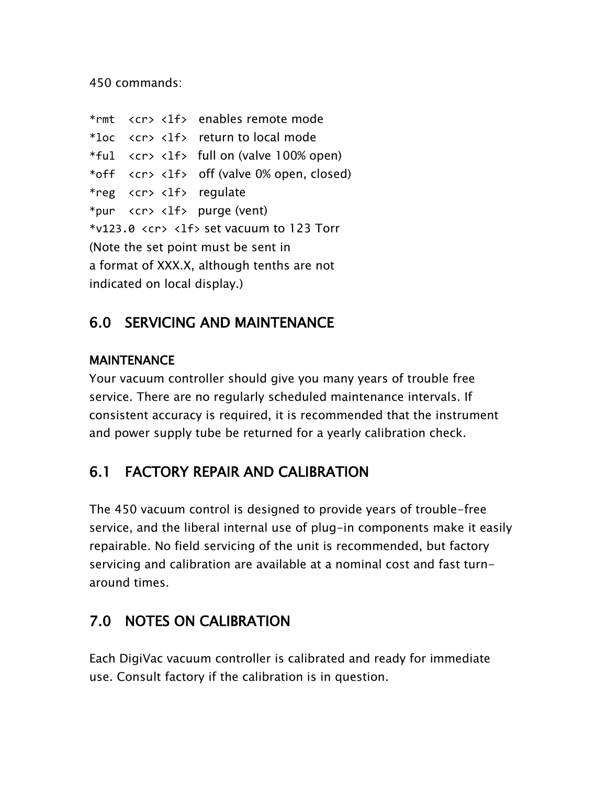450 commands:

```
*rmt <cr> <lf> enables remote mode
*loc <cr> <lf> return to local mode
*ful \langle cr \rangle \langle 1f \rangle full on (valve 100% open)
*off <cr> <lf> off (valve 0% open, closed)
*reg <cr> <lf> regulate
*pur <cr> <lf> purge (vent)
*v123.0 <cr> <lf> set vacuum to 123 Torr
(Note the set point must be sent in 
a format of XXX.X, although tenths are not 
indicated on local display.)
```
#### 6.0 SERVICING AND MAINTENANCE

#### **MAINTENANCE**

Your vacuum controller should give you many years of trouble free service. There are no regularly scheduled maintenance intervals. If consistent accuracy is required, it is recommended that the instrument and power supply tube be returned for a yearly calibration check.

# 6.1 FACTORY REPAIR AND CALIBRATION

The 450 vacuum control is designed to provide years of trouble-free service, and the liberal internal use of plug-in components make it easily repairable. No field servicing of the unit is recommended, but factory servicing and calibration are available at a nominal cost and fast turnaround times.

# 7.0 NOTES ON CALIBRATION

Each DigiVac vacuum controller is calibrated and ready for immediate use. Consult factory if the calibration is in question.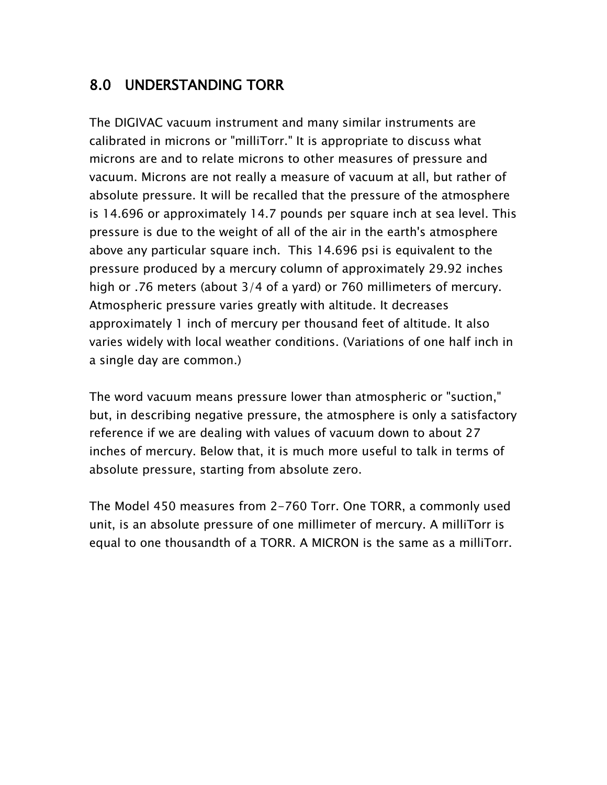#### 8.0 UNDERSTANDING TORR

The DIGIVAC vacuum instrument and many similar instruments are calibrated in microns or "milliTorr." It is appropriate to discuss what microns are and to relate microns to other measures of pressure and vacuum. Microns are not really a measure of vacuum at all, but rather of absolute pressure. It will be recalled that the pressure of the atmosphere is 14.696 or approximately 14.7 pounds per square inch at sea level. This pressure is due to the weight of all of the air in the earth's atmosphere above any particular square inch. This 14.696 psi is equivalent to the pressure produced by a mercury column of approximately 29.92 inches high or .76 meters (about 3/4 of a yard) or 760 millimeters of mercury. Atmospheric pressure varies greatly with altitude. It decreases approximately 1 inch of mercury per thousand feet of altitude. It also varies widely with local weather conditions. (Variations of one half inch in a single day are common.)

The word vacuum means pressure lower than atmospheric or "suction," but, in describing negative pressure, the atmosphere is only a satisfactory reference if we are dealing with values of vacuum down to about 27 inches of mercury. Below that, it is much more useful to talk in terms of absolute pressure, starting from absolute zero.

The Model 450 measures from 2-760 Torr. One TORR, a commonly used unit, is an absolute pressure of one millimeter of mercury. A milliTorr is equal to one thousandth of a TORR. A MICRON is the same as a milliTorr.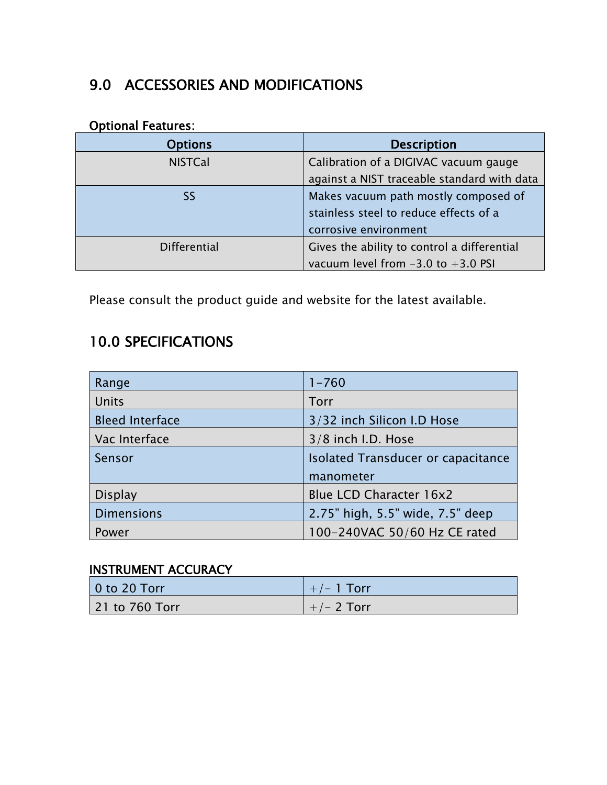## 9.0 ACCESSORIES AND MODIFICATIONS

#### Optional Features:

| <b>Options</b>      | <b>Description</b>                          |
|---------------------|---------------------------------------------|
| <b>NISTCal</b>      | Calibration of a DIGIVAC vacuum gauge       |
|                     | against a NIST traceable standard with data |
| <b>SS</b>           | Makes vacuum path mostly composed of        |
|                     | stainless steel to reduce effects of a      |
|                     | corrosive environment                       |
| <b>Differential</b> | Gives the ability to control a differential |
|                     | vacuum level from $-3.0$ to $+3.0$ PSI      |

Please consult the product guide and website for the latest available.

# 10.0 SPECIFICATIONS

| Range                  | $1 - 760$                          |
|------------------------|------------------------------------|
| Units                  | Torr                               |
| <b>Bleed Interface</b> | 3/32 inch Silicon I.D Hose         |
| Vac Interface          | 3/8 inch I.D. Hose                 |
| Sensor                 | Isolated Transducer or capacitance |
|                        | manometer                          |
| <b>Display</b>         | <b>Blue LCD Character 16x2</b>     |
| <b>Dimensions</b>      | 2.75" high, 5.5" wide, 7.5" deep   |
| Power                  | 100-240VAC 50/60 Hz CE rated       |

#### INSTRUMENT ACCURACY

| $\vert$ 0 to 20 Torr | $+/- 1$ Torr |
|----------------------|--------------|
| 21 to 760 Torr       | $+/- 2$ Torr |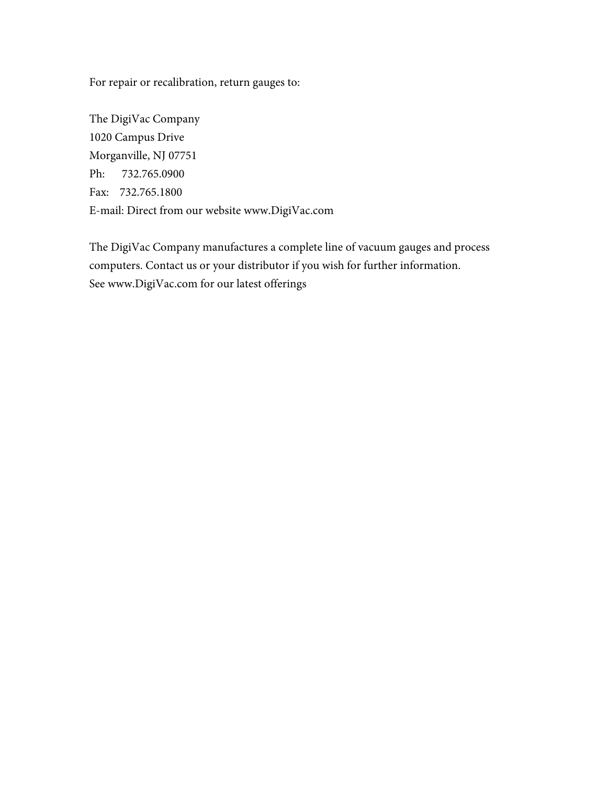For repair or recalibration, return gauges to:

The DigiVac Company 1020 Campus Drive Morganville, NJ 07751 Ph: 732.765.0900 Fax: 732.765.1800 E-mail: Direct from our website www.DigiVac.com

The DigiVac Company manufactures a complete line of vacuum gauges and process computers. Contact us or your distributor if you wish for further information. See www.DigiVac.com for our latest offerings